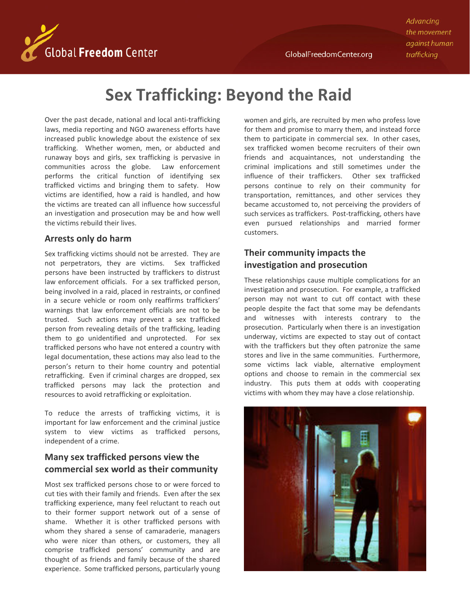Advancing the movement against human trafficking



# **Sex Trafficking: Beyond the Raid**

Over the past decade, national and local anti-trafficking laws, media reporting and NGO awareness efforts have increased public knowledge about the existence of sex trafficking. Whether women, men, or abducted and runaway boys and girls, sex trafficking is pervasive in communities across the globe. Law enforcement performs the critical function of identifying sex trafficked victims and bringing them to safety. How victims are identified, how a raid is handled, and how the victims are treated can all influence how successful an investigation and prosecution may be and how well the victims rebuild their lives.

#### **Arrests only do harm**

Sex trafficking victims should not be arrested. They are not perpetrators, they are victims. Sex trafficked persons have been instructed by traffickers to distrust law enforcement officials. For a sex trafficked person, being involved in a raid, placed in restraints, or confined in a secure vehicle or room only reaffirms traffickers' warnings that law enforcement officials are not to be trusted. Such actions may prevent a sex trafficked person from revealing details of the trafficking, leading them to go unidentified and unprotected. For sex trafficked persons who have not entered a country with legal documentation, these actions may also lead to the person's return to their home country and potential retrafficking. Even if criminal charges are dropped, sex trafficked persons may lack the protection and resources to avoid retrafficking or exploitation.

To reduce the arrests of trafficking victims, it is important for law enforcement and the criminal justice system to view victims as trafficked persons, independent of a crime.

## **Many sex trafficked persons view the commercial sex world as their community**

Most sex trafficked persons chose to or were forced to cut ties with their family and friends. Even after the sex trafficking experience, many feel reluctant to reach out to their former support network out of a sense of shame. Whether it is other trafficked persons with whom they shared a sense of camaraderie, managers who were nicer than others, or customers, they all comprise trafficked persons' community and are thought of as friends and family because of the shared experience. Some trafficked persons, particularly young women and girls, are recruited by men who profess love for them and promise to marry them, and instead force them to participate in commercial sex. In other cases, sex trafficked women become recruiters of their own friends and acquaintances, not understanding the criminal implications and still sometimes under the influence of their traffickers. Other sex trafficked persons continue to rely on their community for transportation, remittances, and other services they became accustomed to, not perceiving the providers of such services as traffickers. Post-trafficking, others have even pursued relationships and married former customers.

## **Their community impacts the investigation and prosecution**

These relationships cause multiple complications for an investigation and prosecution. For example, a trafficked person may not want to cut off contact with these people despite the fact that some may be defendants and witnesses with interests contrary to the prosecution. Particularly when there is an investigation underway, victims are expected to stay out of contact with the traffickers but they often patronize the same stores and live in the same communities. Furthermore, some victims lack viable, alternative employment options and choose to remain in the commercial sex industry. This puts them at odds with cooperating victims with whom they may have a close relationship.